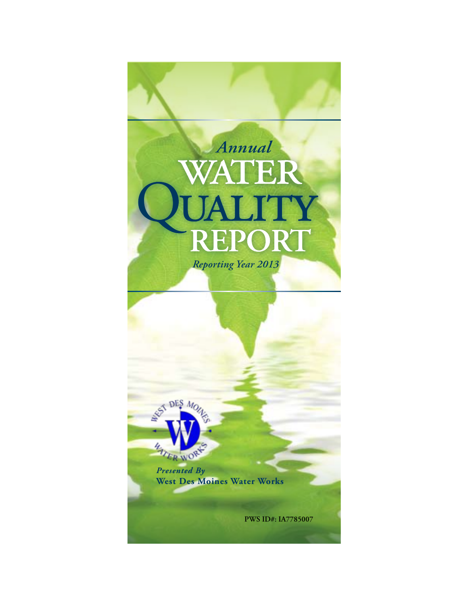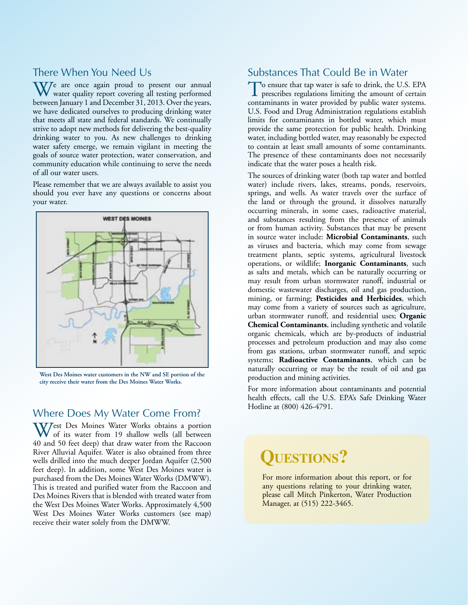# There When You Need Us

We are once again proud to present our annual water quality report covering all testing performed between January 1 and December 31, 2013. Over the years, we have dedicated ourselves to producing drinking water that meets all state and federal standards. We continually strive to adopt new methods for delivering the best-quality drinking water to you. As new challenges to drinking water safety emerge, we remain vigilant in meeting the goals of source water protection, water conservation, and community education while continuing to serve the needs of all our water users.

Please remember that we are always available to assist you should you ever have any questions or concerns about your water.



**West Des Moines water customers in the NW and SE portion of the city receive their water from the Des Moines Water Works.**

# Where Does My Water Come From?

West Des Moines Water Works obtains a portion of its water from 19 shallow wells (all between 40 and 50 feet deep) that draw water from the Raccoon River Alluvial Aquifer. Water is also obtained from three wells drilled into the much deeper Jordan Aquifer (2,500 feet deep). In addition, some West Des Moines water is purchased from the Des Moines Water Works (DMWW). This is treated and purified water from the Raccoon and Des Moines Rivers that is blended with treated water from the West Des Moines Water Works. Approximately 4,500 West Des Moines Water Works customers (see map) receive their water solely from the DMWW.

# Substances That Could Be in Water

To ensure that tap water is safe to drink, the U.S. EPA prescribes regulations limiting the amount of certain contaminants in water provided by public water systems. U.S. Food and Drug Administration regulations establish limits for contaminants in bottled water, which must provide the same protection for public health. Drinking water, including bottled water, may reasonably be expected to contain at least small amounts of some contaminants. The presence of these contaminants does not necessarily indicate that the water poses a health risk.

The sources of drinking water (both tap water and bottled water) include rivers, lakes, streams, ponds, reservoirs, springs, and wells. As water travels over the surface of the land or through the ground, it dissolves naturally occurring minerals, in some cases, radioactive material, and substances resulting from the presence of animals or from human activity. Substances that may be present in source water include: **Microbial Contaminants**, such as viruses and bacteria, which may come from sewage treatment plants, septic systems, agricultural livestock operations, or wildlife; **Inorganic Contaminants**, such as salts and metals, which can be naturally occurring or may result from urban stormwater runoff, industrial or domestic wastewater discharges, oil and gas production, mining, or farming; **Pesticides and Herbicides**, which may come from a variety of sources such as agriculture, urban stormwater runoff, and residential uses; **Organic Chemical Contaminants**, including synthetic and volatile organic chemicals, which are by-products of industrial processes and petroleum production and may also come from gas stations, urban stormwater runoff, and septic systems; **Radioactive Contaminants**, which can be naturally occurring or may be the result of oil and gas production and mining activities.

For more information about contaminants and potential health effects, call the U.S. EPA's Safe Drinking Water Hotline at (800) 426-4791.

# **QUESTIONS?**

For more information about this report, or for any questions relating to your drinking water, please call Mitch Pinkerton, Water Production Manager, at (515) 222-3465.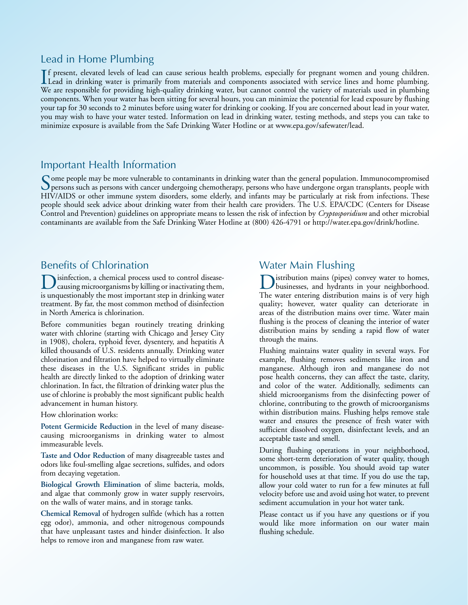# Lead in Home Plumbing

If present, elevated levels of lead can cause serious health problems, especially for pregnant women and young children.<br>Lead in drinking water is primarily from materials and components associated with service lines and h f present, elevated levels of lead can cause serious health problems, especially for pregnant women and young children. We are responsible for providing high-quality drinking water, but cannot control the variety of materials used in plumbing components. When your water has been sitting for several hours, you can minimize the potential for lead exposure by flushing your tap for 30 seconds to 2 minutes before using water for drinking or cooking. If you are concerned about lead in your water, you may wish to have your water tested. Information on lead in drinking water, testing methods, and steps you can take to minimize exposure is available from the Safe Drinking Water Hotline or at www.epa.gov/safewater/lead.

# Important Health Information

Some people may be more vulnerable to contaminants in drinking water than the general population. Immunocompromised<br>Dersons such as persons with cancer undergoing chemotherapy, persons who have undergone organ transplants, HIV/AIDS or other immune system disorders, some elderly, and infants may be particularly at risk from infections. These people should seek advice about drinking water from their health care providers. The U.S. EPA/CDC (Centers for Disease Control and Prevention) guidelines on appropriate means to lessen the risk of infection by *Cryptosporidium* and other microbial contaminants are available from the Safe Drinking Water Hotline at (800) 426-4791 or http://water.epa.gov/drink/hotline.

# Benefits of Chlorination

Disinfection, a chemical process used to control disease-causing microorganisms by killing or inactivating them, is unquestionably the most important step in drinking water treatment. By far, the most common method of disinfection in North America is chlorination.

Before communities began routinely treating drinking water with chlorine (starting with Chicago and Jersey City in 1908), cholera, typhoid fever, dysentery, and hepatitis A killed thousands of U.S. residents annually. Drinking water chlorination and filtration have helped to virtually eliminate these diseases in the U.S. Significant strides in public health are directly linked to the adoption of drinking water chlorination. In fact, the filtration of drinking water plus the use of chlorine is probably the most significant public health advancement in human history.

### How chlorination works:

**Potent Germicide Reduction** in the level of many diseasecausing microorganisms in drinking water to almost immeasurable levels.

**Taste and Odor Reduction** of many disagreeable tastes and odors like foul-smelling algae secretions, sulfides, and odors from decaying vegetation.

**Biological Growth Elimination** of slime bacteria, molds, and algae that commonly grow in water supply reservoirs, on the walls of water mains, and in storage tanks.

**Chemical Removal** of hydrogen sulfide (which has a rotten egg odor), ammonia, and other nitrogenous compounds that have unpleasant tastes and hinder disinfection. It also helps to remove iron and manganese from raw water.

# Water Main Flushing

Distribution mains (pipes) convey water to homes, businesses, and hydrants in your neighborhood. The water entering distribution mains is of very high quality; however, water quality can deteriorate in areas of the distribution mains over time. Water main flushing is the process of cleaning the interior of water distribution mains by sending a rapid flow of water through the mains.

Flushing maintains water quality in several ways. For example, flushing removes sediments like iron and manganese. Although iron and manganese do not pose health concerns, they can affect the taste, clarity, and color of the water. Additionally, sediments can shield microorganisms from the disinfecting power of chlorine, contributing to the growth of microorganisms within distribution mains. Flushing helps remove stale water and ensures the presence of fresh water with sufficient dissolved oxygen, disinfectant levels, and an acceptable taste and smell.

During flushing operations in your neighborhood, some short-term deterioration of water quality, though uncommon, is possible. You should avoid tap water for household uses at that time. If you do use the tap, allow your cold water to run for a few minutes at full velocity before use and avoid using hot water, to prevent sediment accumulation in your hot water tank.

Please contact us if you have any questions or if you would like more information on our water main flushing schedule.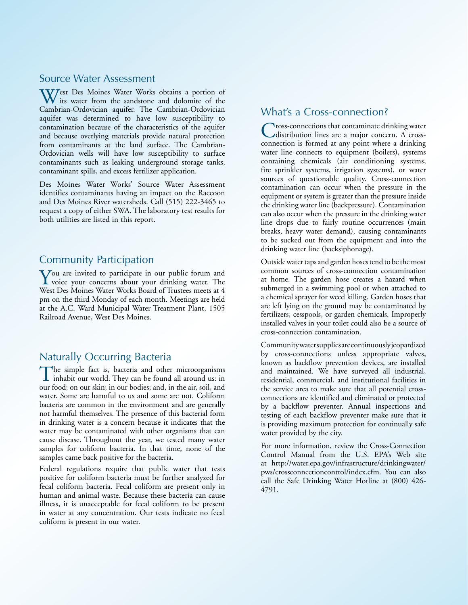### Source Water Assessment

West Des Moines Water Works obtains a portion of the sandstone and dolomite of the sandstone and dolomite of the Cambrian-Ordovician aquifer. The Cambrian-Ordovician aquifer was determined to have low susceptibility to contamination because of the characteristics of the aquifer and because overlying materials provide natural protection from contaminants at the land surface. The Cambrian-Ordovician wells will have low susceptibility to surface contaminants such as leaking underground storage tanks, contaminant spills, and excess fertilizer application.

Des Moines Water Works' Source Water Assessment identifies contaminants having an impact on the Raccoon and Des Moines River watersheds. Call (515) 222-3465 to request a copy of either SWA. The laboratory test results for both utilities are listed in this report.

### Community Participation

You are invited to participate in our public forum and<br>voice your concerns about your drinking water. The West Des Moines Water Works Board of Trustees meets at 4 pm on the third Monday of each month. Meetings are held at the A.C. Ward Municipal Water Treatment Plant, 1505 Railroad Avenue, West Des Moines.

# Naturally Occurring Bacteria

The simple fact is, bacteria and other microorganisms  $\blacksquare$  inhabit our world. They can be found all around us: in our food; on our skin; in our bodies; and, in the air, soil, and water. Some are harmful to us and some are not. Coliform bacteria are common in the environment and are generally not harmful themselves. The presence of this bacterial form in drinking water is a concern because it indicates that the water may be contaminated with other organisms that can cause disease. Throughout the year, we tested many water samples for coliform bacteria. In that time, none of the samples came back positive for the bacteria.

Federal regulations require that public water that tests positive for coliform bacteria must be further analyzed for fecal coliform bacteria. Fecal coliform are present only in human and animal waste. Because these bacteria can cause illness, it is unacceptable for fecal coliform to be present in water at any concentration. Our tests indicate no fecal coliform is present in our water.

### What's a Cross-connection?

**Tross-connections that contaminate drinking water** distribution lines are a major concern. A crossconnection is formed at any point where a drinking water line connects to equipment (boilers), systems containing chemicals (air conditioning systems, fire sprinkler systems, irrigation systems), or water sources of questionable quality. Cross-connection contamination can occur when the pressure in the equipment or system is greater than the pressure inside the drinking water line (backpressure). Contamination can also occur when the pressure in the drinking water line drops due to fairly routine occurrences (main breaks, heavy water demand), causing contaminants to be sucked out from the equipment and into the drinking water line (backsiphonage).

Outside water taps and garden hoses tend to be the most common sources of cross-connection contamination at home. The garden hose creates a hazard when submerged in a swimming pool or when attached to a chemical sprayer for weed killing. Garden hoses that are left lying on the ground may be contaminated by fertilizers, cesspools, or garden chemicals. Improperly installed valves in your toilet could also be a source of cross-connection contamination.

Community water supplies are continuously jeopardized by cross-connections unless appropriate valves, known as backflow prevention devices, are installed and maintained. We have surveyed all industrial, residential, commercial, and institutional facilities in the service area to make sure that all potential crossconnections are identified and eliminated or protected by a backflow preventer. Annual inspections and testing of each backflow preventer make sure that it is providing maximum protection for continually safe water provided by the city.

For more information, review the Cross-Connection Control Manual from the U.S. EPA's Web site at http://water.epa.gov/infrastructure/drinkingwater/ pws/crossconnectioncontrol/index.cfm. You can also call the Safe Drinking Water Hotline at (800) 426- 4791.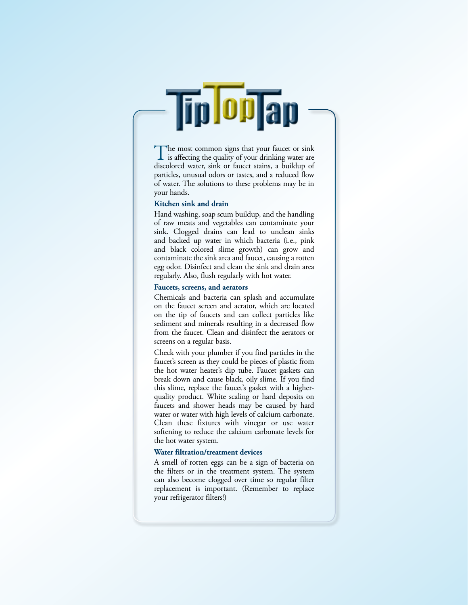The most common signs that your faucet or sink<br>is affecting the quality of your drinking water are discolored water, sink or faucet stains, a buildup of particles, unusual odors or tastes, and a reduced flow of water. The solutions to these problems may be in your hands.

**Tip OPTap** 

#### **Kitchen sink and drain**

Hand washing, soap scum buildup, and the handling of raw meats and vegetables can contaminate your sink. Clogged drains can lead to unclean sinks and backed up water in which bacteria (i.e., pink and black colored slime growth) can grow and contaminate the sink area and faucet, causing a rotten egg odor. Disinfect and clean the sink and drain area regularly. Also, flush regularly with hot water.

#### **Faucets, screens, and aerators**

Chemicals and bacteria can splash and accumulate on the faucet screen and aerator, which are located on the tip of faucets and can collect particles like sediment and minerals resulting in a decreased flow from the faucet. Clean and disinfect the aerators or screens on a regular basis.

Check with your plumber if you find particles in the faucet's screen as they could be pieces of plastic from the hot water heater's dip tube. Faucet gaskets can break down and cause black, oily slime. If you find this slime, replace the faucet's gasket with a higherquality product. White scaling or hard deposits on faucets and shower heads may be caused by hard water or water with high levels of calcium carbonate. Clean these fixtures with vinegar or use water softening to reduce the calcium carbonate levels for the hot water system.

#### **Water filtration/treatment devices**

A smell of rotten eggs can be a sign of bacteria on the filters or in the treatment system. The system can also become clogged over time so regular filter replacement is important. (Remember to replace your refrigerator filters!)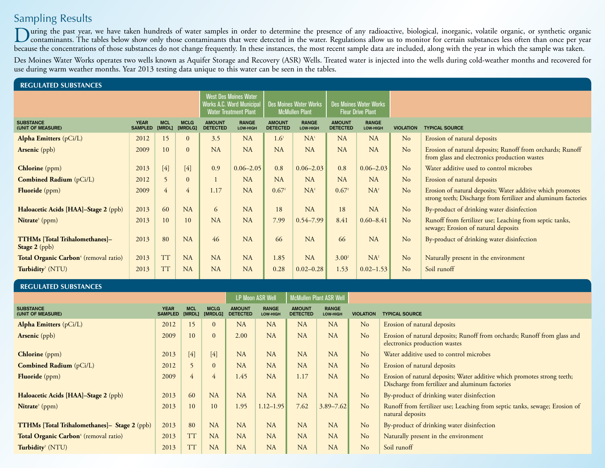# Sampling Results

During the past year, we have taken hundreds of water samples in order to determine the presence of any radioactive, biological, inorganic, volatile organic, or synthetic organic organic organic organic organic organic org because the concentrations of those substances do not change frequently. In these instances, the most recent sample data are included, along with the year in which the sample was taken.

Des Moines Water Works operates two wells known as Aquifer Storage and Recovery (ASR) Wells. Treated water is injected into the wells during cold-weather months and recovered for use during warm weather months. Year 2013 testing data unique to this water can be seen in the tables.

| <b>REGULATED SUBSTANCES</b>                            |                                                                                                  |                             |                                                        |                                  |                                                           |                                  |                                 |                                  |                                 |                  |                                                                                                                              |  |
|--------------------------------------------------------|--------------------------------------------------------------------------------------------------|-----------------------------|--------------------------------------------------------|----------------------------------|-----------------------------------------------------------|----------------------------------|---------------------------------|----------------------------------|---------------------------------|------------------|------------------------------------------------------------------------------------------------------------------------------|--|
|                                                        | <b>West Des Moines Water</b><br><b>Works A.C. Ward Municipal</b><br><b>Water Treatment Plant</b> |                             | <b>Des Moines Water Works</b><br><b>McMullen Plant</b> |                                  | <b>Des Moines Water Works</b><br><b>Fleur Drive Plant</b> |                                  |                                 |                                  |                                 |                  |                                                                                                                              |  |
| <b>SUBSTANCE</b><br>(UNIT OF MEASURE)                  | <b>YEAR</b><br><b>SAMPLED</b>                                                                    | <b>MCL</b><br><b>IMRDL1</b> | <b>MCLG</b><br><b>IMRDLG1</b>                          | <b>AMOUNT</b><br><b>DETECTED</b> | <b>RANGE</b><br>LOW-HIGH                                  | <b>AMOUNT</b><br><b>DETECTED</b> | <b>RANGE</b><br><b>LOW-HIGH</b> | <b>AMOUNT</b><br><b>DETECTED</b> | <b>RANGE</b><br><b>LOW-HIGH</b> | <b>VIOLATION</b> | <b>TYPICAL SOURCE</b>                                                                                                        |  |
| <b>Alpha Emitters</b> (pCi/L)                          | 2012                                                                                             | 15                          | $\mathbf{0}$                                           | 3.5                              | <b>NA</b>                                                 | 1.6 <sup>1</sup>                 | NA <sup>1</sup>                 | <b>NA</b>                        | <b>NA</b>                       | N <sub>o</sub>   | Erosion of natural deposits                                                                                                  |  |
| <b>Arsenic</b> (ppb)                                   | 2009                                                                                             | 10                          | $\mathbf{0}$                                           | <b>NA</b>                        | NA                                                        | <b>NA</b>                        | <b>NA</b>                       | <b>NA</b>                        | NA                              | No               | Erosion of natural deposits; Runoff from orchards; Runoff<br>from glass and electronics production wastes                    |  |
| Chlorine (ppm)                                         | 2013                                                                                             | $[4]$                       | $[4]$                                                  | 0.9                              | $0.06 - 2.05$                                             | 0.8                              | $0.06 - 2.03$                   | 0.8                              | $0.06 - 2.03$                   | No               | Water additive used to control microbes                                                                                      |  |
| <b>Combined Radium</b> (pCi/L)                         | 2012                                                                                             | 5                           | $\mathbf{0}$                                           |                                  | <b>NA</b>                                                 | <b>NA</b>                        | <b>NA</b>                       | <b>NA</b>                        | NA                              | N <sub>o</sub>   | Erosion of natural deposits                                                                                                  |  |
| Fluoride (ppm)                                         | 2009                                                                                             | $\overline{4}$              | $\overline{4}$                                         | 1.17                             | <b>NA</b>                                                 | $0.67^2$                         | $NA^2$                          | $0.67^2$                         | $NA^2$                          | No               | Erosion of natural deposits; Water additive which promotes<br>strong teeth; Discharge from fertilizer and aluminum factories |  |
| Haloacetic Acids [HAA]-Stage 2 (ppb)                   | 2013                                                                                             | 60                          | <b>NA</b>                                              | 6                                | <b>NA</b>                                                 | 18                               | <b>NA</b>                       | 18                               | <b>NA</b>                       | No               | By-product of drinking water disinfection                                                                                    |  |
| Nitrate <sup>3</sup> (ppm)                             | 2013                                                                                             | 10                          | 10                                                     | <b>NA</b>                        | <b>NA</b>                                                 | 7.99                             | $0.54 - 7.99$                   | 8.41                             | $0.60 - 8.41$                   | No               | Runoff from fertilizer use; Leaching from septic tanks,<br>sewage; Erosion of natural deposits                               |  |
| <b>TTHMs [Total Trihalomethanes]-</b><br>Stage 2 (ppb) | 2013                                                                                             | 80                          | <b>NA</b>                                              | 46                               | NA                                                        | 66                               | <b>NA</b>                       | 66                               | <b>NA</b>                       | N <sub>o</sub>   | By-product of drinking water disinfection                                                                                    |  |
| Total Organic Carbon <sup>4</sup> (removal ratio)      | 2013                                                                                             | <b>TT</b>                   | <b>NA</b>                                              | <b>NA</b>                        | <b>NA</b>                                                 | 1.85                             | <b>NA</b>                       | $3.00^2$                         | $NA^2$                          | N <sub>o</sub>   | Naturally present in the environment                                                                                         |  |
| Turbidity <sup>5</sup> (NTU)                           | 2013                                                                                             | <b>TT</b>                   | <b>NA</b>                                              | <b>NA</b>                        | <b>NA</b>                                                 | 0.28                             | $0.02 - 0.28$                   | 1.53                             | $0.02 - 1.53$                   | No               | Soil runoff                                                                                                                  |  |
|                                                        |                                                                                                  |                             |                                                        |                                  |                                                           |                                  |                                 |                                  |                                 |                  |                                                                                                                              |  |

**REGULATED SUBSTANCES**

|                                                   |                               |                      |                        |                                  | <b>LP Moon ASR Well</b>  |                                  | McMullen Plant ASR Well  |                  |                                                                                                                              |
|---------------------------------------------------|-------------------------------|----------------------|------------------------|----------------------------------|--------------------------|----------------------------------|--------------------------|------------------|------------------------------------------------------------------------------------------------------------------------------|
| <b>SUBSTANCE</b><br>(UNIT OF MEASURE)             | <b>YEAR</b><br><b>SAMPLED</b> | <b>MCL</b><br>[MRDL] | <b>MCLG</b><br>[MRDLG] | <b>AMOUNT</b><br><b>DETECTED</b> | <b>RANGE</b><br>LOW-HIGH | <b>AMOUNT</b><br><b>DETECTED</b> | <b>RANGE</b><br>LOW-HIGH | <b>VIOLATION</b> | <b>TYPICAL SOURCE</b>                                                                                                        |
| Alpha Emitters (pCi/L)                            | 2012                          | 15                   |                        | <b>NA</b>                        | <b>NA</b>                | NA                               | <b>NA</b>                | No               | Erosion of natural deposits                                                                                                  |
| <b>Arsenic</b> (ppb)                              | 2009                          | 10                   | $\overline{0}$         | 2.00                             | NA                       | NA                               | <b>NA</b>                | N <sub>o</sub>   | Erosion of natural deposits; Runoff from orchards; Runoff from glass and<br>electronics production wastes                    |
| <b>Chlorine</b> (ppm)                             | 2013                          | $[4]$                | $[4]$                  | <b>NA</b>                        | <b>NA</b>                | NA                               | NA                       | No               | Water additive used to control microbes                                                                                      |
| <b>Combined Radium</b> (pCi/L)                    | 2012                          |                      | $\Omega$               | NA                               | NA                       | NA                               | NA                       | No               | Erosion of natural deposits                                                                                                  |
| <b>Fluoride</b> (ppm)                             | 2009                          | $4^{\circ}$          | 4                      | 1.45                             | <b>NA</b>                | 1.17                             | NA                       | No               | Erosion of natural deposits; Water additive which promotes strong teeth;<br>Discharge from fertilizer and aluminum factories |
| Haloacetic Acids [HAA]-Stage 2 (ppb)              | 2013                          | 60                   | <b>NA</b>              | NA                               | <b>NA</b>                | NA                               | NA                       | No               | By-product of drinking water disinfection                                                                                    |
| Nitrate <sup>3</sup> (ppm)                        | 2013                          | 10                   | 10                     | 1.95                             | $1.12 - 1.95$            | 7.62                             | $3.89 - 7.62$            | No               | Runoff from fertilizer use; Leaching from septic tanks, sewage; Erosion of<br>natural deposits                               |
| TTHMs [Total Trihalomethanes]- Stage 2 (ppb)      | 2013                          | 80                   | <b>NA</b>              | NA                               | <b>NA</b>                | NA                               | <b>NA</b>                | No               | By-product of drinking water disinfection                                                                                    |
| Total Organic Carbon <sup>4</sup> (removal ratio) | 2013                          | <b>TT</b>            | <b>NA</b>              | <b>NA</b>                        | <b>NA</b>                | NA                               | <b>NA</b>                | N <sub>o</sub>   | Naturally present in the environment                                                                                         |
| Turbidity <sup>5</sup> (NTU)                      | 2013                          | 11                   | <b>NA</b>              | <b>NA</b>                        | <b>NA</b>                | <b>NA</b>                        | NA                       | N <sub>o</sub>   | Soil runoff                                                                                                                  |